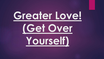# **Greater Love!**



**Yourself)**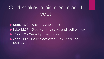# God makes a big deal about you!

▶ Matt.10:29 – Ascribes value to us Luke 12:37 – God wants to serve and wait on you **1 Cor. 6:3 – We will judge angels** ▶ Zeph. 3:17 – He rejoices over us as His valued possession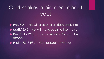# God makes a big deal about you!

 $\blacktriangleright$  Phil. 3:21 – He will give us a glorious body like • Matt.13:43 – He will make us shine like the sun

- Rev.3:21 Will grant us to sit with Christ on His throne
- ▶ Psalm 8:3-8 ESV He is occupied with us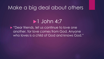### **1 John 4:7**

▶ "Dear friends, let us continue to love one another, for love comes from God. Anyone who loves is a child of God and knows God."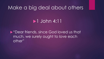#### $\blacktriangleright$ 1 John 4:11

"Dear friends, since God loved us that much, we surely ought to love each other"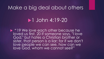### **1 John 4:19-20**

 $\triangleright$  "19 We love each other because he loved us first. 20 If someone says, "I love God," but hates a Christian brother or sister, that person is a liar; for if we don't love people we can see, how can we love God, whom we cannot see?"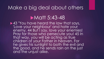## **Matt 5:43-48**

▶ 43 "You have heard the law that says, 'Love your neighbour' and hate your enemy. 44 But I say, love your enemies! Pray for those who persecute you! 45 In that way, you will be acting as true children of your Father in heaven. For he gives his sunlight to both the evil and the good, and he sends rain on the just and the unjust alike.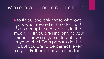▶ 46 If you love only those who love you, what reward is there for that? Even corrupt tax collectors do that much. 47 If you are kind only to your friends, how are you different from anyone else? Even pagans do that. 48 But you are to be perfect, even as your Father in heaven is perfect.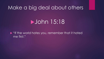## **DJohn 15:18**

**If the world hates you, remember that it hated** me first."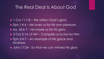#### The Real Deal Is About God

- ▶ 1 Cor 11:7-8 We reflect God's glory
- ▶ Eph.1:4-6 He loves us for His own pleasure
- $\blacktriangleright$  Isa. 43:6-7 He made us for His glory
- ▶ 2 Cor 5:14-15 NIV Compells us to live for Him
- ▶ Eph.2:4-7 An example of His grace and kindness
- ▶ John.17:24 So that we can witness His glory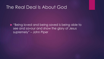#### The Real Deal Is About God

▶ "Being loved and being saved is being able to see and savour and show the glory of Jesus supremely" – John Piper